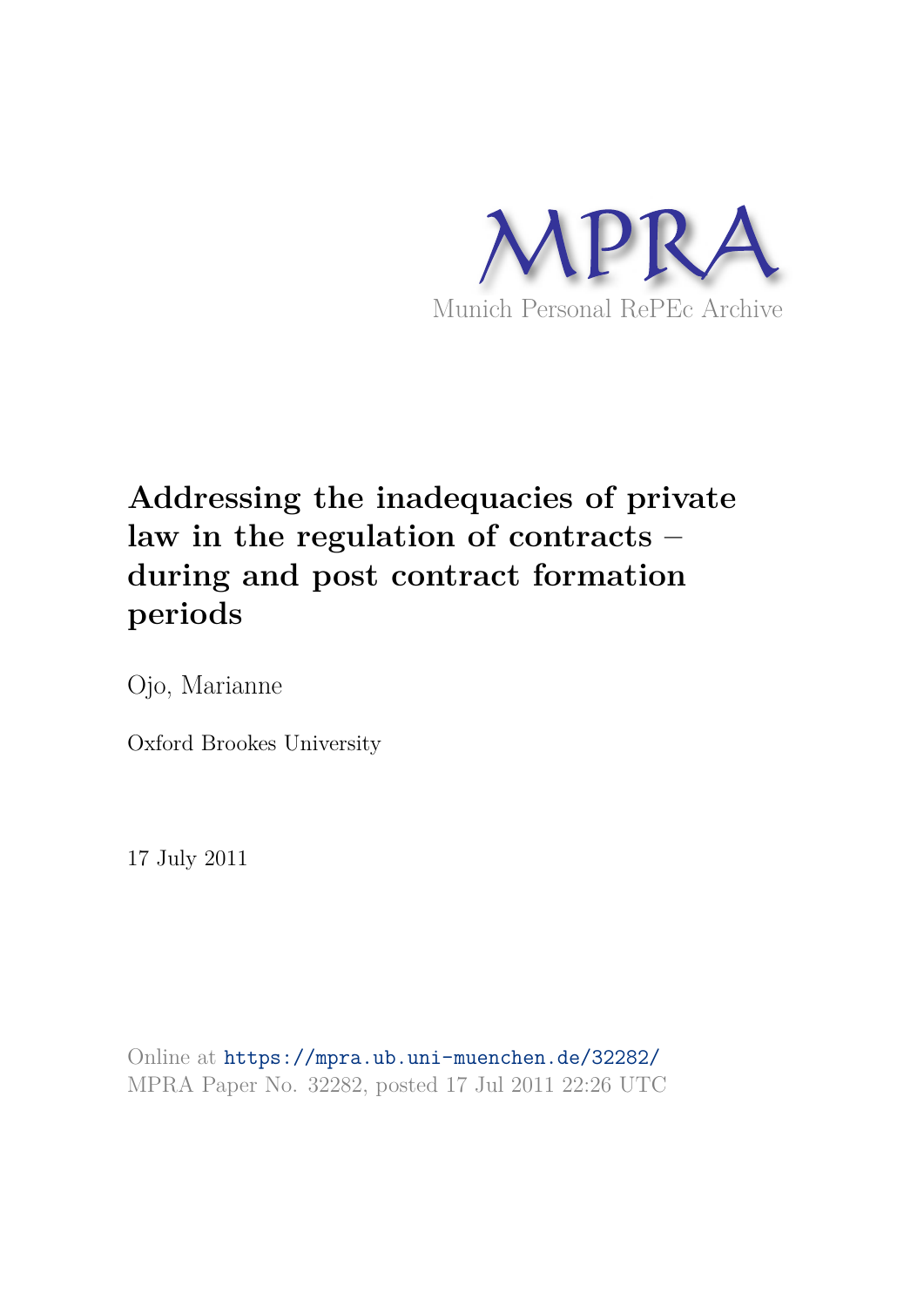

# **Addressing the inadequacies of private law in the regulation of contracts – during and post contract formation periods**

Ojo, Marianne

Oxford Brookes University

17 July 2011

Online at https://mpra.ub.uni-muenchen.de/32282/ MPRA Paper No. 32282, posted 17 Jul 2011 22:26 UTC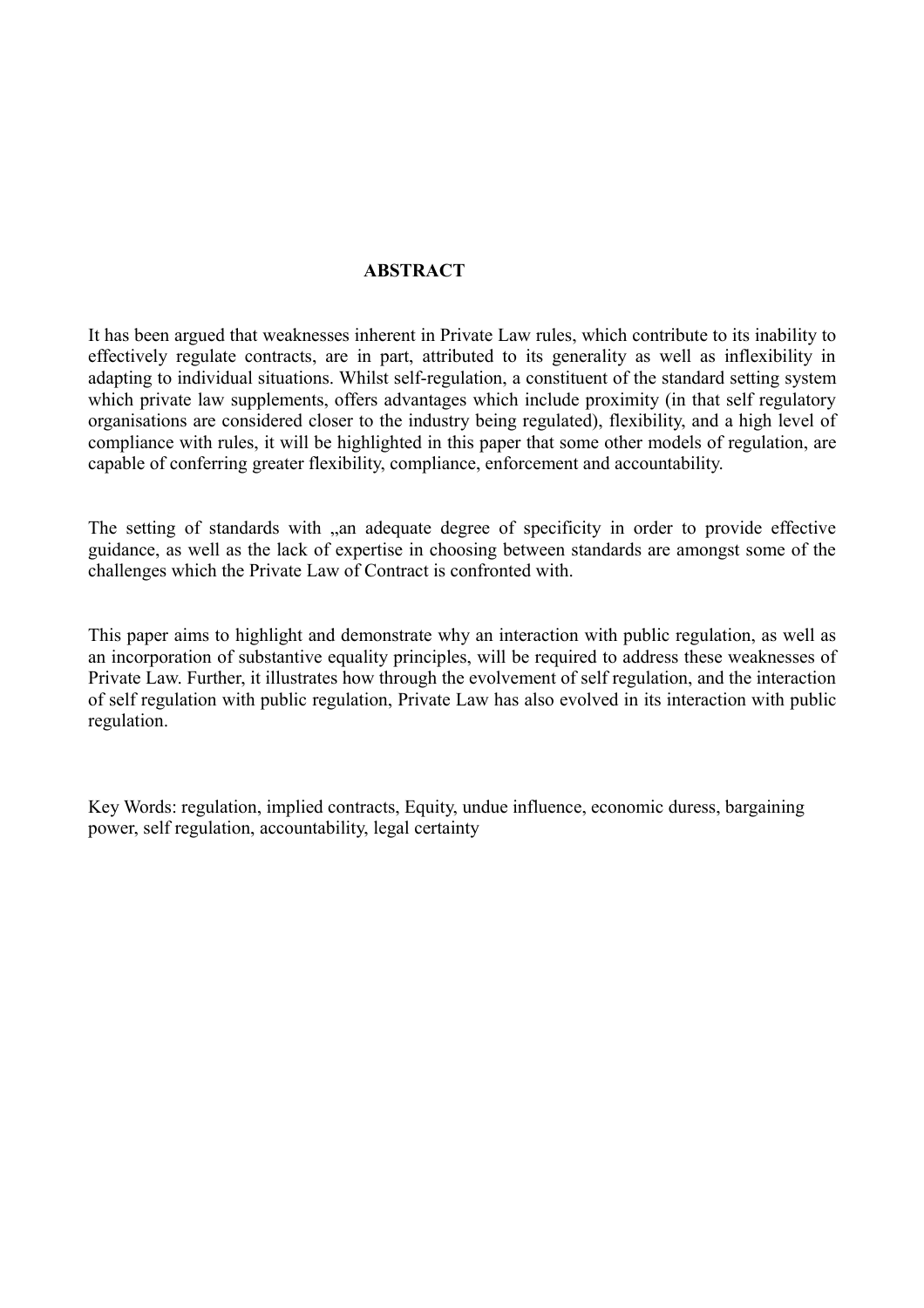#### **ABSTRACT**

It has been argued that weaknesses inherent in Private Law rules, which contribute to its inability to effectively regulate contracts, are in part, attributed to its generality as well as inflexibility in adapting to individual situations. Whilst self-regulation, a constituent of the standard setting system which private law supplements, offers advantages which include proximity (in that self regulatory organisations are considered closer to the industry being regulated), flexibility, and a high level of compliance with rules, it will be highlighted in this paper that some other models of regulation, are capable of conferring greater flexibility, compliance, enforcement and accountability.

The setting of standards with , an adequate degree of specificity in order to provide effective guidance, as well as the lack of expertise in choosing between standards are amongst some of the challenges which the Private Law of Contract is confronted with.

This paper aims to highlight and demonstrate why an interaction with public regulation, as well as an incorporation of substantive equality principles, will be required to address these weaknesses of Private Law. Further, it illustrates how through the evolvement of self regulation, and the interaction of self regulation with public regulation, Private Law has also evolved in its interaction with public regulation.

Key Words: regulation, implied contracts, Equity, undue influence, economic duress, bargaining power, self regulation, accountability, legal certainty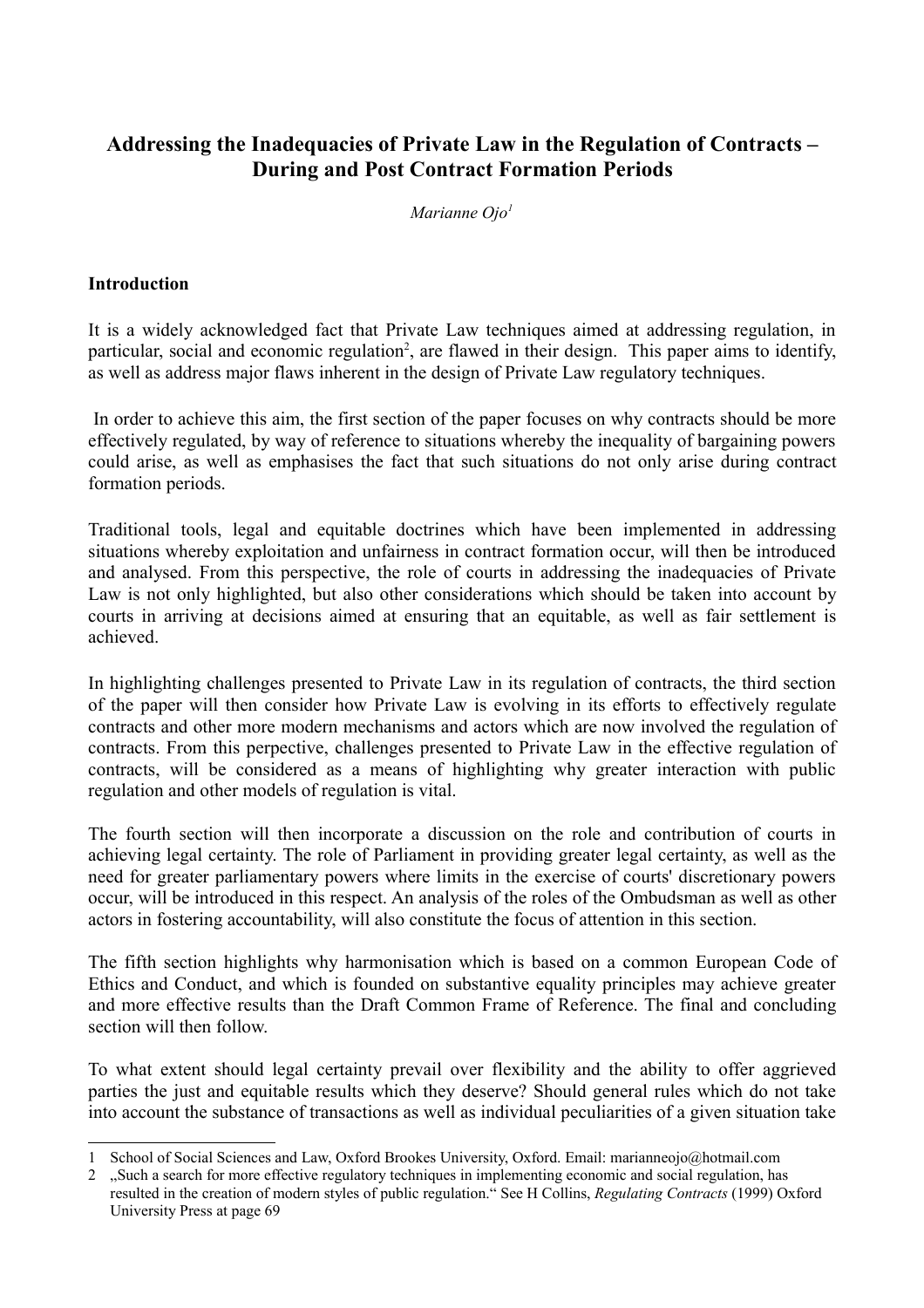# **Addressing the Inadequacies of Private Law in the Regulation of Contracts – During and Post Contract Formation Periods**

*Marianne Ojo<sup>1</sup>*

#### **Introduction**

It is a widely acknowledged fact that Private Law techniques aimed at addressing regulation, in particular, social and economic regulation<sup>2</sup>, are flawed in their design. This paper aims to identify, as well as address major flaws inherent in the design of Private Law regulatory techniques.

 In order to achieve this aim, the first section of the paper focuses on why contracts should be more effectively regulated, by way of reference to situations whereby the inequality of bargaining powers could arise, as well as emphasises the fact that such situations do not only arise during contract formation periods.

Traditional tools, legal and equitable doctrines which have been implemented in addressing situations whereby exploitation and unfairness in contract formation occur, will then be introduced and analysed. From this perspective, the role of courts in addressing the inadequacies of Private Law is not only highlighted, but also other considerations which should be taken into account by courts in arriving at decisions aimed at ensuring that an equitable, as well as fair settlement is achieved.

In highlighting challenges presented to Private Law in its regulation of contracts, the third section of the paper will then consider how Private Law is evolving in its efforts to effectively regulate contracts and other more modern mechanisms and actors which are now involved the regulation of contracts. From this perpective, challenges presented to Private Law in the effective regulation of contracts, will be considered as a means of highlighting why greater interaction with public regulation and other models of regulation is vital.

The fourth section will then incorporate a discussion on the role and contribution of courts in achieving legal certainty. The role of Parliament in providing greater legal certainty, as well as the need for greater parliamentary powers where limits in the exercise of courts' discretionary powers occur, will be introduced in this respect. An analysis of the roles of the Ombudsman as well as other actors in fostering accountability, will also constitute the focus of attention in this section.

The fifth section highlights why harmonisation which is based on a common European Code of Ethics and Conduct, and which is founded on substantive equality principles may achieve greater and more effective results than the Draft Common Frame of Reference. The final and concluding section will then follow.

To what extent should legal certainty prevail over flexibility and the ability to offer aggrieved parties the just and equitable results which they deserve? Should general rules which do not take into account the substance of transactions as well as individual peculiarities of a given situation take

<sup>1</sup> School of Social Sciences and Law, Oxford Brookes University, Oxford. Email: marianneojo@hotmail.com

<sup>2 .</sup>Such a search for more effective regulatory techniques in implementing economic and social regulation, has resulted in the creation of modern styles of public regulation." See H Collins, *Regulating Contracts* (1999) Oxford University Press at page 69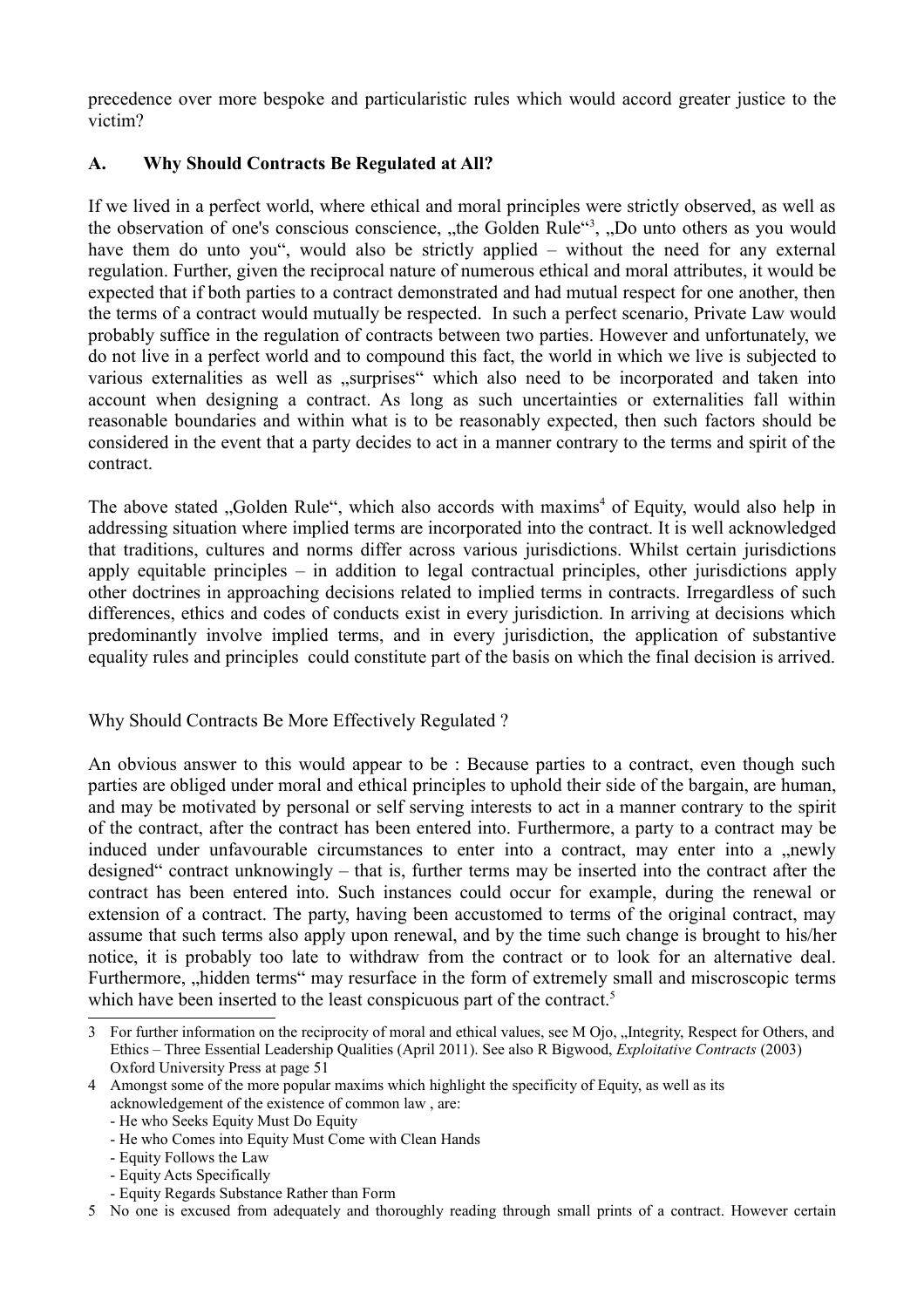precedence over more bespoke and particularistic rules which would accord greater justice to the victim?

## **A. Why Should Contracts Be Regulated at All?**

If we lived in a perfect world, where ethical and moral principles were strictly observed, as well as the observation of one's conscious conscience, "the Golden Rule"<sup>3</sup>, "Do unto others as you would have them do unto you", would also be strictly applied – without the need for any external regulation. Further, given the reciprocal nature of numerous ethical and moral attributes, it would be expected that if both parties to a contract demonstrated and had mutual respect for one another, then the terms of a contract would mutually be respected. In such a perfect scenario, Private Law would probably suffice in the regulation of contracts between two parties. However and unfortunately, we do not live in a perfect world and to compound this fact, the world in which we live is subjected to various externalities as well as ...surprises which also need to be incorporated and taken into account when designing a contract. As long as such uncertainties or externalities fall within reasonable boundaries and within what is to be reasonably expected, then such factors should be considered in the event that a party decides to act in a manner contrary to the terms and spirit of the contract.

The above stated "Golden Rule", which also accords with maxims<sup>4</sup> of Equity, would also help in addressing situation where implied terms are incorporated into the contract. It is well acknowledged that traditions, cultures and norms differ across various jurisdictions. Whilst certain jurisdictions apply equitable principles – in addition to legal contractual principles, other jurisdictions apply other doctrines in approaching decisions related to implied terms in contracts. Irregardless of such differences, ethics and codes of conducts exist in every jurisdiction. In arriving at decisions which predominantly involve implied terms, and in every jurisdiction, the application of substantive equality rules and principles could constitute part of the basis on which the final decision is arrived.

Why Should Contracts Be More Effectively Regulated ?

An obvious answer to this would appear to be : Because parties to a contract, even though such parties are obliged under moral and ethical principles to uphold their side of the bargain, are human, and may be motivated by personal or self serving interests to act in a manner contrary to the spirit of the contract, after the contract has been entered into. Furthermore, a party to a contract may be induced under unfavourable circumstances to enter into a contract, may enter into a newly designed" contract unknowingly – that is, further terms may be inserted into the contract after the contract has been entered into. Such instances could occur for example, during the renewal or extension of a contract. The party, having been accustomed to terms of the original contract, may assume that such terms also apply upon renewal, and by the time such change is brought to his/her notice, it is probably too late to withdraw from the contract or to look for an alternative deal. Furthermore, "hidden terms" may resurface in the form of extremely small and miscroscopic terms which have been inserted to the least conspicuous part of the contract.<sup>5</sup>

- Equity Follows the Law

<sup>3</sup> For further information on the reciprocity of moral and ethical values, see M Ojo, "Integrity, Respect for Others, and Ethics – Three Essential Leadership Qualities (April 2011). See also R Bigwood, *Exploitative Contracts* (2003) Oxford University Press at page 51

<sup>4</sup> Amongst some of the more popular maxims which highlight the specificity of Equity, as well as its acknowledgement of the existence of common law , are:

<sup>-</sup> He who Seeks Equity Must Do Equity

<sup>-</sup> He who Comes into Equity Must Come with Clean Hands

<sup>-</sup> Equity Acts Specifically

<sup>-</sup> Equity Regards Substance Rather than Form

<sup>5</sup> No one is excused from adequately and thoroughly reading through small prints of a contract. However certain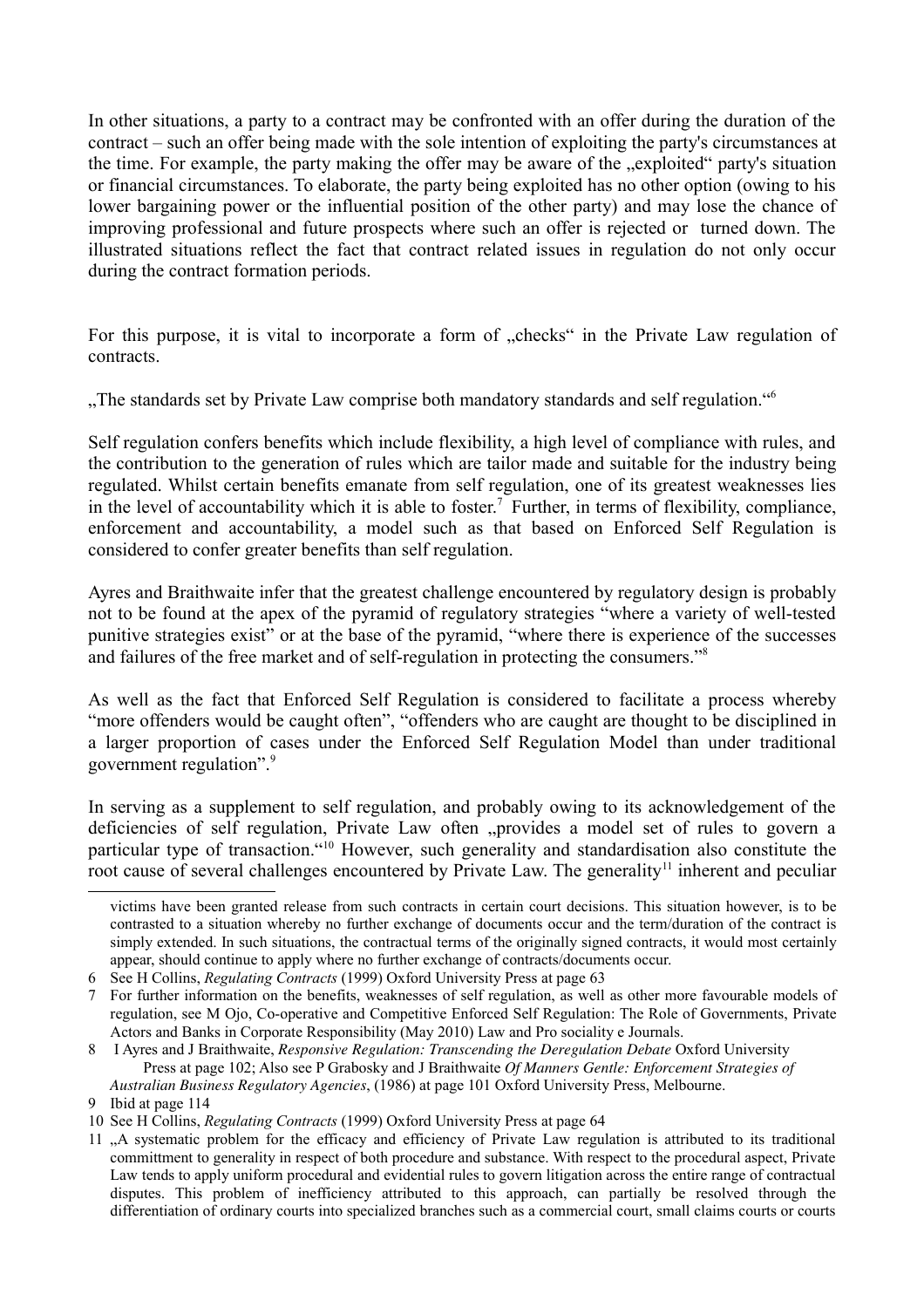In other situations, a party to a contract may be confronted with an offer during the duration of the contract – such an offer being made with the sole intention of exploiting the party's circumstances at the time. For example, the party making the offer may be aware of the "exploited" party's situation or financial circumstances. To elaborate, the party being exploited has no other option (owing to his lower bargaining power or the influential position of the other party) and may lose the chance of improving professional and future prospects where such an offer is rejected or turned down. The illustrated situations reflect the fact that contract related issues in regulation do not only occur during the contract formation periods.

For this purpose, it is vital to incorporate a form of "checks" in the Private Law regulation of contracts.

"The standards set by Private Law comprise both mandatory standards and self regulation."<sup>6</sup>

Self regulation confers benefits which include flexibility, a high level of compliance with rules, and the contribution to the generation of rules which are tailor made and suitable for the industry being regulated. Whilst certain benefits emanate from self regulation, one of its greatest weaknesses lies in the level of accountability which it is able to foster.<sup>7</sup> Further, in terms of flexibility, compliance, enforcement and accountability, a model such as that based on Enforced Self Regulation is considered to confer greater benefits than self regulation.

Ayres and Braithwaite infer that the greatest challenge encountered by regulatory design is probably not to be found at the apex of the pyramid of regulatory strategies "where a variety of well-tested punitive strategies exist<sup>7</sup> or at the base of the pyramid, "where there is experience of the successes and failures of the free market and of self-regulation in protecting the consumers."<sup>8</sup>

As well as the fact that Enforced Self Regulation is considered to facilitate a process whereby "more offenders would be caught often", "offenders who are caught are thought to be disciplined in a larger proportion of cases under the Enforced Self Regulation Model than under traditional government regulation".<sup>9</sup>

In serving as a supplement to self regulation, and probably owing to its acknowledgement of the deficiencies of self regulation, Private Law often "provides a model set of rules to govern a particular type of transaction."<sup>10</sup> However, such generality and standardisation also constitute the root cause of several challenges encountered by Private Law. The generality<sup>11</sup> inherent and peculiar

victims have been granted release from such contracts in certain court decisions. This situation however, is to be contrasted to a situation whereby no further exchange of documents occur and the term/duration of the contract is simply extended. In such situations, the contractual terms of the originally signed contracts, it would most certainly appear, should continue to apply where no further exchange of contracts/documents occur.

<sup>6</sup> See H Collins, *Regulating Contracts* (1999) Oxford University Press at page 63

<sup>7</sup> For further information on the benefits, weaknesses of self regulation, as well as other more favourable models of regulation, see M Ojo, Co-operative and Competitive Enforced Self Regulation: The Role of Governments, Private Actors and Banks in Corporate Responsibility (May 2010) Law and Pro sociality e Journals.

<sup>8</sup> I Ayres and J Braithwaite, *Responsive Regulation: Transcending the Deregulation Debate* Oxford University Press at page 102; Also see P Grabosky and J Braithwaite *Of Manners Gentle: Enforcement Strategies of Australian Business Regulatory Agencies*, (1986) at page 101 Oxford University Press, Melbourne.

<sup>9</sup> Ibid at page 114

<sup>10</sup> See H Collins, *Regulating Contracts* (1999) Oxford University Press at page 64

<sup>11 .</sup>A systematic problem for the efficacy and efficiency of Private Law regulation is attributed to its traditional committment to generality in respect of both procedure and substance. With respect to the procedural aspect, Private Law tends to apply uniform procedural and evidential rules to govern litigation across the entire range of contractual disputes. This problem of inefficiency attributed to this approach, can partially be resolved through the differentiation of ordinary courts into specialized branches such as a commercial court, small claims courts or courts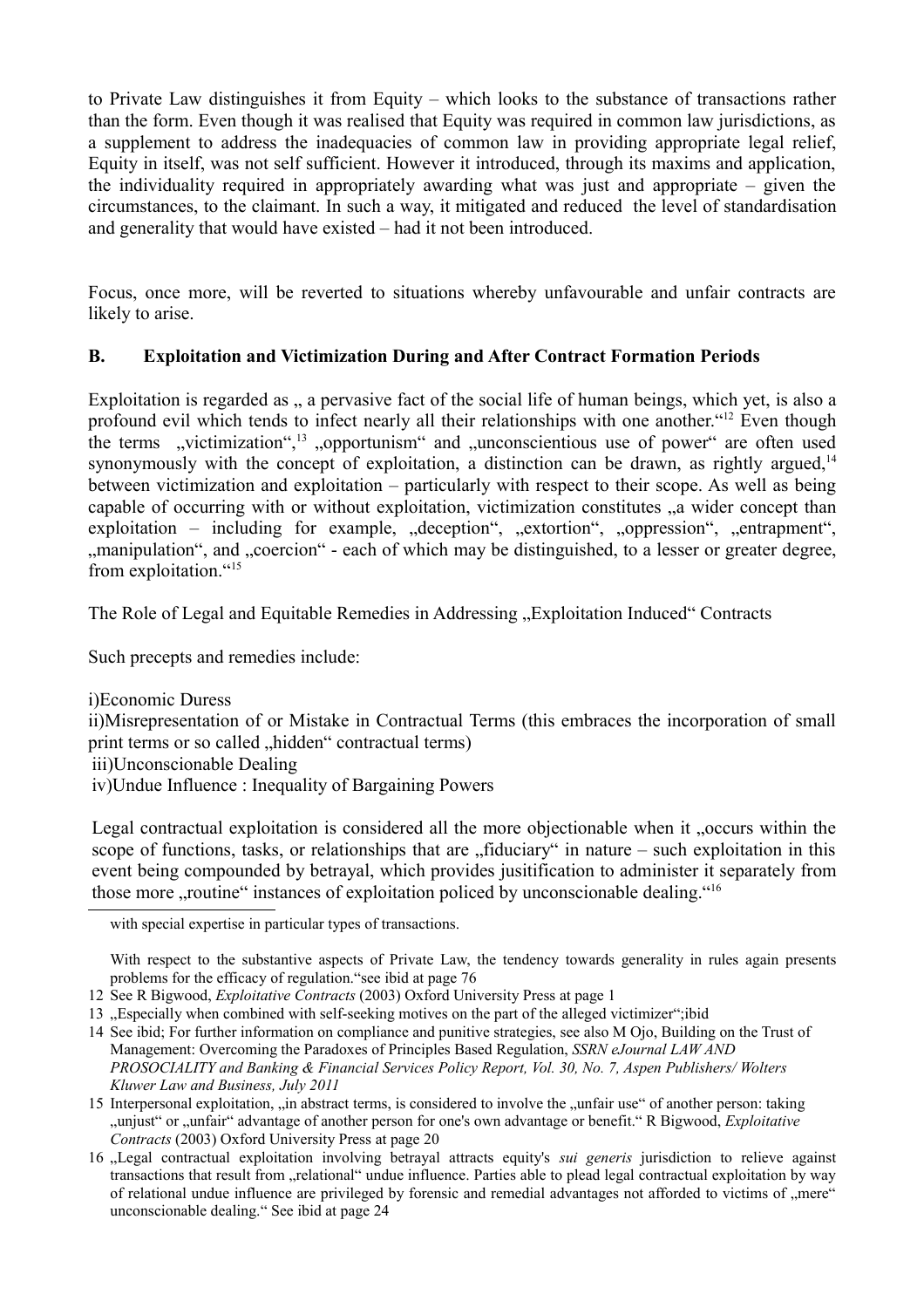to Private Law distinguishes it from Equity – which looks to the substance of transactions rather than the form. Even though it was realised that Equity was required in common law jurisdictions, as a supplement to address the inadequacies of common law in providing appropriate legal relief, Equity in itself, was not self sufficient. However it introduced, through its maxims and application, the individuality required in appropriately awarding what was just and appropriate – given the circumstances, to the claimant. In such a way, it mitigated and reduced the level of standardisation and generality that would have existed – had it not been introduced.

Focus, once more, will be reverted to situations whereby unfavourable and unfair contracts are likely to arise.

## **B. Exploitation and Victimization During and After Contract Formation Periods**

Exploitation is regarded as , a pervasive fact of the social life of human beings, which yet, is also a profound evil which tends to infect nearly all their relationships with one another."<sup>12</sup> Even though the terms "victimization",<sup>13</sup> "opportunism" and "unconscientious use of power" are often used synonymously with the concept of exploitation, a distinction can be drawn, as rightly argued, $14$ between victimization and exploitation – particularly with respect to their scope. As well as being capable of occurring with or without exploitation, victimization constitutes  $\alpha$  wider concept than exploitation – including for example, "deception", "extortion", "oppression", "entrapment", ", manipulation", and "coercion" - each of which may be distinguished, to a lesser or greater degree, from exploitation "15"

The Role of Legal and Equitable Remedies in Addressing "Exploitation Induced" Contracts

Such precepts and remedies include:

i)Economic Duress

ii)Misrepresentation of or Mistake in Contractual Terms (this embraces the incorporation of small print terms or so called "hidden" contractual terms)

iii)Unconscionable Dealing

iv)Undue Influence : Inequality of Bargaining Powers

Legal contractual exploitation is considered all the more objectionable when it "occurs within the scope of functions, tasks, or relationships that are  $\pi$  fiduciary" in nature – such exploitation in this event being compounded by betrayal, which provides jusitification to administer it separately from those more "routine" instances of exploitation policed by unconscionable dealing."<sup>16</sup>

with special expertise in particular types of transactions.

With respect to the substantive aspects of Private Law, the tendency towards generality in rules again presents problems for the efficacy of regulation."see ibid at page 76

13 . Especially when combined with self-seeking motives on the part of the alleged victimizer";ibid

<sup>12</sup> See R Bigwood, *Exploitative Contracts* (2003) Oxford University Press at page 1

<sup>14</sup> See ibid; For further information on compliance and punitive strategies, see also M Ojo, Building on the Trust of Management: Overcoming the Paradoxes of Principles Based Regulation, *SSRN eJournal LAW AND PROSOCIALITY and Banking & Financial Services Policy Report, Vol. 30, No. 7, Aspen Publishers/ Wolters Kluwer Law and Business, July 2011*

<sup>15</sup> Interpersonal exploitation, in abstract terms, is considered to involve the "unfair use" of another person: taking "unjust" or "unfair" advantage of another person for one's own advantage or benefit." R Bigwood, *Exploitative Contracts* (2003) Oxford University Press at page 20

<sup>16 &</sup>quot;Legal contractual exploitation involving betrayal attracts equity's *sui generis* jurisdiction to relieve against transactions that result from "relational" undue influence. Parties able to plead legal contractual exploitation by way of relational undue influence are privileged by forensic and remedial advantages not afforded to victims of "mere" unconscionable dealing." See ibid at page 24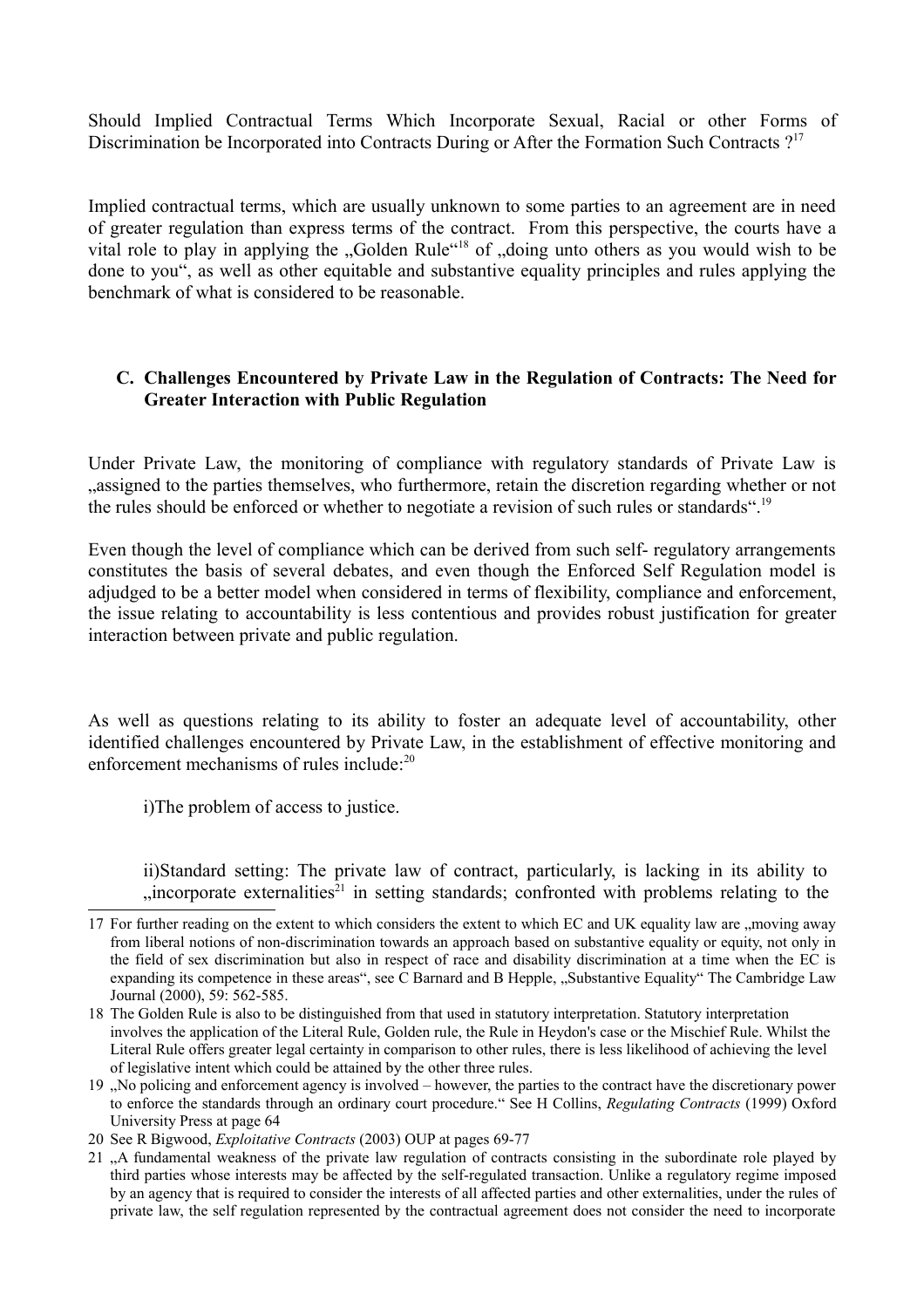Should Implied Contractual Terms Which Incorporate Sexual, Racial or other Forms of Discrimination be Incorporated into Contracts During or After the Formation Such Contracts ?<sup>17</sup>

Implied contractual terms, which are usually unknown to some parties to an agreement are in need of greater regulation than express terms of the contract. From this perspective, the courts have a vital role to play in applying the "Golden Rule"<sup>18</sup> of "doing unto others as you would wish to be done to you", as well as other equitable and substantive equality principles and rules applying the benchmark of what is considered to be reasonable.

#### **C. Challenges Encountered by Private Law in the Regulation of Contracts: The Need for Greater Interaction with Public Regulation**

Under Private Law, the monitoring of compliance with regulatory standards of Private Law is assigned to the parties themselves, who furthermore, retain the discretion regarding whether or not. the rules should be enforced or whether to negotiate a revision of such rules or standards".<sup>19</sup>

Even though the level of compliance which can be derived from such self- regulatory arrangements constitutes the basis of several debates, and even though the Enforced Self Regulation model is adjudged to be a better model when considered in terms of flexibility, compliance and enforcement, the issue relating to accountability is less contentious and provides robust justification for greater interaction between private and public regulation.

As well as questions relating to its ability to foster an adequate level of accountability, other identified challenges encountered by Private Law, in the establishment of effective monitoring and enforcement mechanisms of rules include<sup> $20$ </sup>

i)The problem of access to justice.

ii)Standard setting: The private law of contract, particularly, is lacking in its ability to  $\mu$  incorporate externalities<sup>21</sup> in setting standards; confronted with problems relating to the

19 "No policing and enforcement agency is involved – however, the parties to the contract have the discretionary power to enforce the standards through an ordinary court procedure." See H Collins, *Regulating Contracts* (1999) Oxford University Press at page 64

<sup>17</sup> For further reading on the extent to which considers the extent to which EC and UK equality law are , moving away from liberal notions of non-discrimination towards an approach based on substantive equality or equity, not only in the field of sex discrimination but also in respect of race and disability discrimination at a time when the EC is expanding its competence in these areas", see C Barnard and B Hepple, "Substantive Equality" The Cambridge Law Journal (2000), 59: 562-585.

<sup>18</sup> The Golden Rule is also to be distinguished from that used in statutory interpretation. Statutory interpretation involves the application of the Literal Rule, Golden rule, the Rule in Heydon's case or the Mischief Rule. Whilst the Literal Rule offers greater legal certainty in comparison to other rules, there is less likelihood of achieving the level of legislative intent which could be attained by the other three rules.

<sup>20</sup> See R Bigwood, *Exploitative Contracts* (2003) OUP at pages 69-77

<sup>21 .</sup> A fundamental weakness of the private law regulation of contracts consisting in the subordinate role played by third parties whose interests may be affected by the self-regulated transaction. Unlike a regulatory regime imposed by an agency that is required to consider the interests of all affected parties and other externalities, under the rules of private law, the self regulation represented by the contractual agreement does not consider the need to incorporate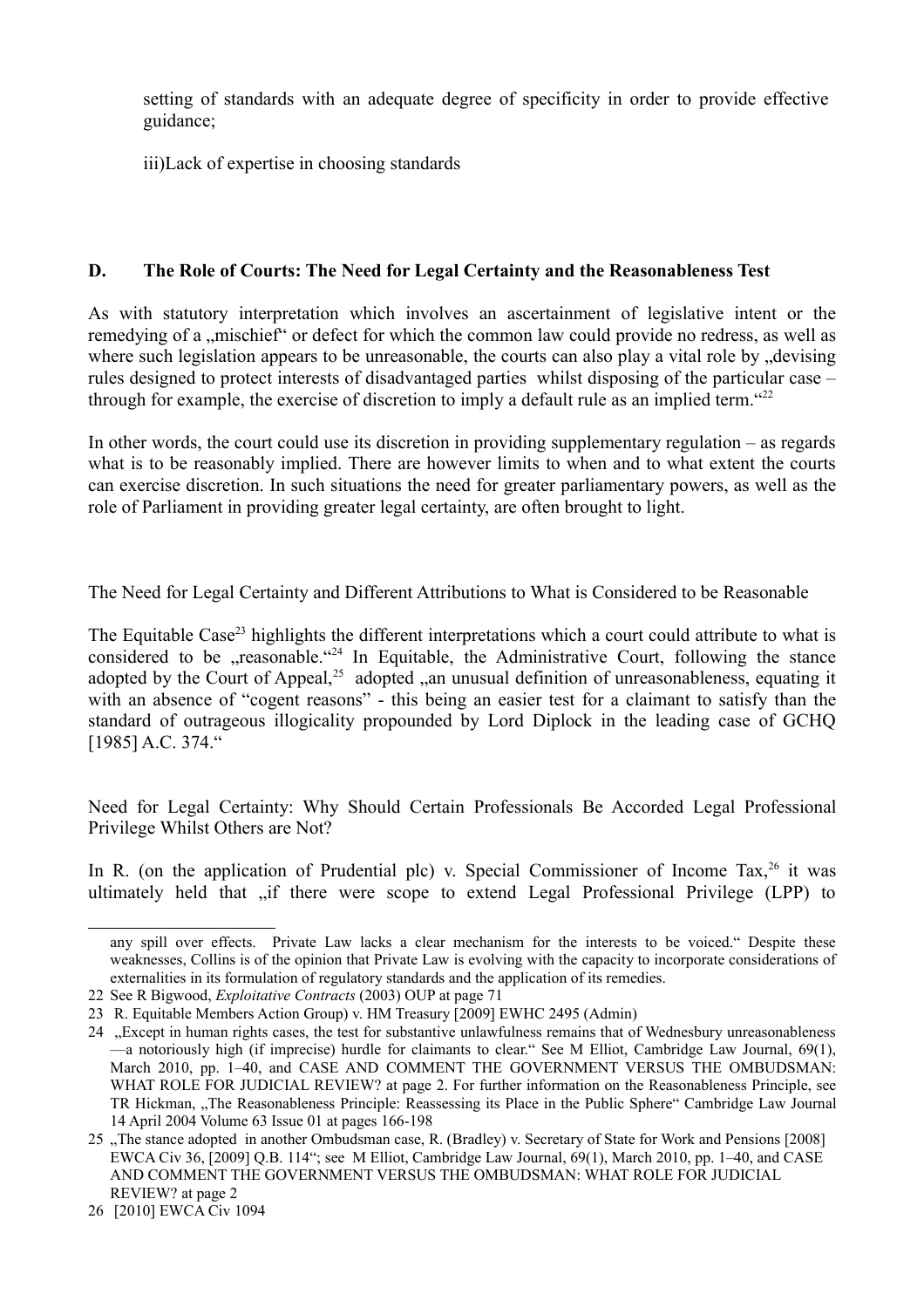setting of standards with an adequate degree of specificity in order to provide effective guidance;

iii)Lack of expertise in choosing standards

## **D. The Role of Courts: The Need for Legal Certainty and the Reasonableness Test**

As with statutory interpretation which involves an ascertainment of legislative intent or the remedying of a "mischief" or defect for which the common law could provide no redress, as well as where such legislation appears to be unreasonable, the courts can also play a vital role by devising rules designed to protect interests of disadvantaged parties whilst disposing of the particular case – through for example, the exercise of discretion to imply a default rule as an implied term.  $422$ 

In other words, the court could use its discretion in providing supplementary regulation – as regards what is to be reasonably implied. There are however limits to when and to what extent the courts can exercise discretion. In such situations the need for greater parliamentary powers, as well as the role of Parliament in providing greater legal certainty, are often brought to light.

The Need for Legal Certainty and Different Attributions to What is Considered to be Reasonable

The Equitable Case<sup>23</sup> highlights the different interpretations which a court could attribute to what is considered to be  $\alpha$  reasonable.  $\alpha$ <sup>24</sup> In Equitable, the Administrative Court, following the stance adopted by the Court of Appeal,<sup>25</sup> adopted  $\alpha$ , an unusual definition of unreasonableness, equating it with an absence of "cogent reasons" - this being an easier test for a claimant to satisfy than the standard of outrageous illogicality propounded by Lord Diplock in the leading case of GCHQ [1985] A.C. 374."

Need for Legal Certainty: Why Should Certain Professionals Be Accorded Legal Professional Privilege Whilst Others are Not?

In R. (on the application of Prudential plc) v. Special Commissioner of Income Tax,  $26$  it was ultimately held that "if there were scope to extend Legal Professional Privilege (LPP) to

any spill over effects. Private Law lacks a clear mechanism for the interests to be voiced." Despite these weaknesses, Collins is of the opinion that Private Law is evolving with the capacity to incorporate considerations of externalities in its formulation of regulatory standards and the application of its remedies.

<sup>22</sup> See R Bigwood, *Exploitative Contracts* (2003) OUP at page 71

<sup>23</sup> R. Equitable Members Action Group) v. HM Treasury [2009] EWHC 2495 (Admin)

<sup>24 &</sup>quot;Except in human rights cases, the test for substantive unlawfulness remains that of Wednesbury unreasonableness —a notoriously high (if imprecise) hurdle for claimants to clear." See M Elliot, Cambridge Law Journal, 69(1), March 2010, pp. 1–40, and CASE AND COMMENT THE GOVERNMENT VERSUS THE OMBUDSMAN: WHAT ROLE FOR JUDICIAL REVIEW? at page 2. For further information on the Reasonableness Principle, see TR Hickman, "The Reasonableness Principle: Reassessing its Place in the Public Sphere" Cambridge Law Journal 14 April 2004 Volume 63 Issue 01 at pages 166-198

<sup>25 &</sup>quot;The stance adopted in another Ombudsman case, R. (Bradley) v. Secretary of State for Work and Pensions [2008] EWCA Civ 36, [2009] Q.B. 114"; see M Elliot, Cambridge Law Journal, 69(1), March 2010, pp. 1–40, and CASE AND COMMENT THE GOVERNMENT VERSUS THE OMBUDSMAN: WHAT ROLE FOR JUDICIAL REVIEW? at page 2

<sup>26 [2010]</sup> EWCA Civ 1094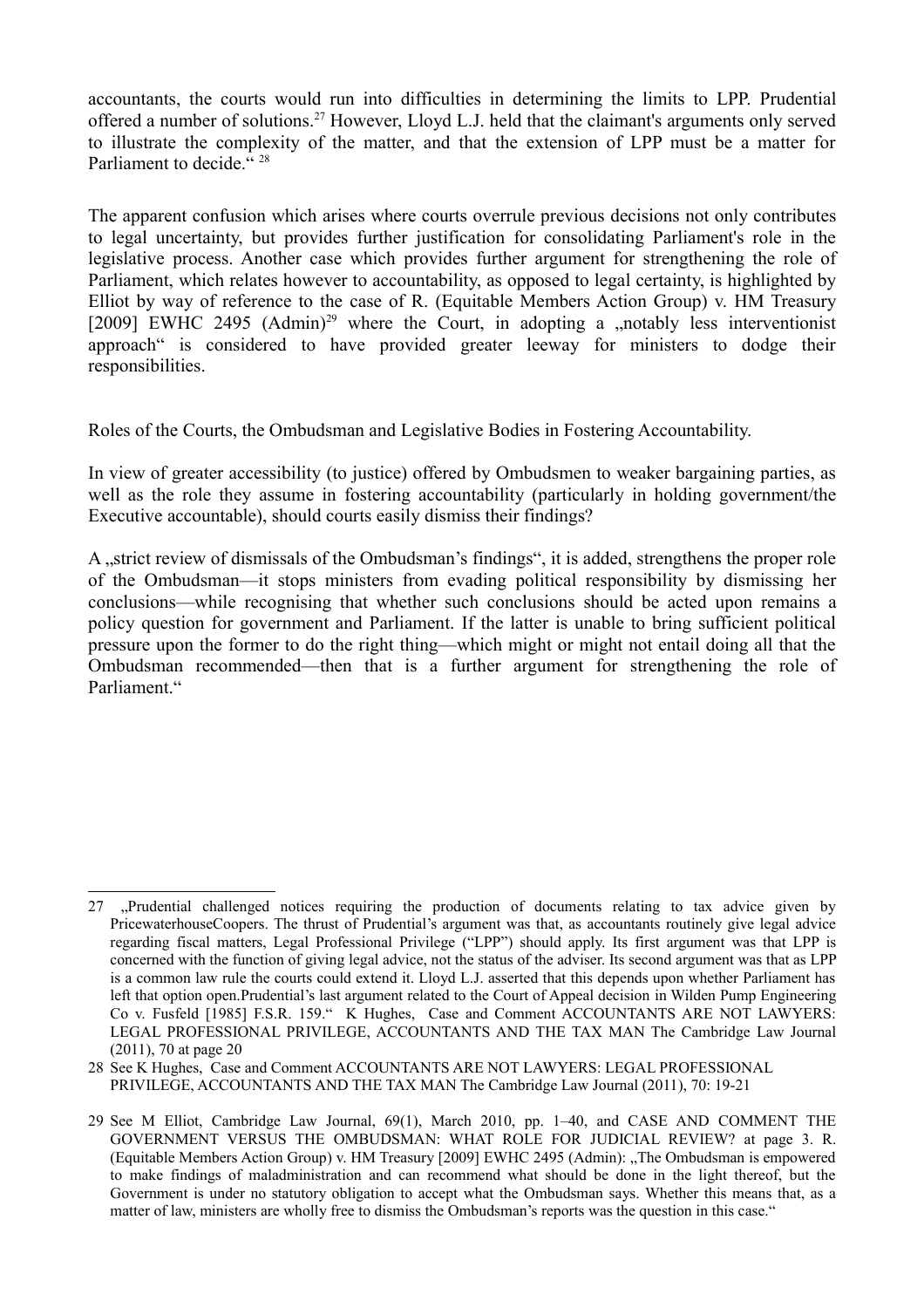accountants, the courts would run into difficulties in determining the limits to LPP. Prudential offered a number of solutions.<sup>27</sup> However, Lloyd L.J. held that the claimant's arguments only served to illustrate the complexity of the matter, and that the extension of LPP must be a matter for Parliament to decide<sup>"</sup><sup>28</sup>

The apparent confusion which arises where courts overrule previous decisions not only contributes to legal uncertainty, but provides further justification for consolidating Parliament's role in the legislative process. Another case which provides further argument for strengthening the role of Parliament, which relates however to accountability, as opposed to legal certainty, is highlighted by Elliot by way of reference to the case of R. (Equitable Members Action Group) v. HM Treasury [2009] EWHC 2495  $(Admin)^{29}$  where the Court, in adopting a "notably less interventionist approach" is considered to have provided greater leeway for ministers to dodge their responsibilities.

Roles of the Courts, the Ombudsman and Legislative Bodies in Fostering Accountability.

In view of greater accessibility (to justice) offered by Ombudsmen to weaker bargaining parties, as well as the role they assume in fostering accountability (particularly in holding government/the Executive accountable), should courts easily dismiss their findings?

A "strict review of dismissals of the Ombudsman's findings", it is added, strengthens the proper role of the Ombudsman—it stops ministers from evading political responsibility by dismissing her conclusions—while recognising that whether such conclusions should be acted upon remains a policy question for government and Parliament. If the latter is unable to bring sufficient political pressure upon the former to do the right thing—which might or might not entail doing all that the Ombudsman recommended—then that is a further argument for strengthening the role of Parliament."

<sup>27 &</sup>quot;, Prudential challenged notices requiring the production of documents relating to tax advice given by PricewaterhouseCoopers. The thrust of Prudential's argument was that, as accountants routinely give legal advice regarding fiscal matters, Legal Professional Privilege ("LPP") should apply. Its first argument was that LPP is concerned with the function of giving legal advice, not the status of the adviser. Its second argument was that as LPP is a common law rule the courts could extend it. Lloyd L.J. asserted that this depends upon whether Parliament has left that option open.Prudential's last argument related to the Court of Appeal decision in Wilden Pump Engineering Co v. Fusfeld [1985] F.S.R. 159." K Hughes, Case and Comment ACCOUNTANTS ARE NOT LAWYERS: LEGAL PROFESSIONAL PRIVILEGE, ACCOUNTANTS AND THE TAX MAN The Cambridge Law Journal (2011), 70 at page 20

<sup>28</sup> See K Hughes, Case and Comment ACCOUNTANTS ARE NOT LAWYERS: LEGAL PROFESSIONAL PRIVILEGE, ACCOUNTANTS AND THE TAX MAN The Cambridge Law Journal (2011), 70: 19-21

<sup>29</sup> See M Elliot, Cambridge Law Journal, 69(1), March 2010, pp. 1–40, and CASE AND COMMENT THE GOVERNMENT VERSUS THE OMBUDSMAN: WHAT ROLE FOR JUDICIAL REVIEW? at page 3. R. (Equitable Members Action Group) v. HM Treasury [2009] EWHC 2495 (Admin): "The Ombudsman is empowered to make findings of maladministration and can recommend what should be done in the light thereof, but the Government is under no statutory obligation to accept what the Ombudsman says. Whether this means that, as a matter of law, ministers are wholly free to dismiss the Ombudsman's reports was the question in this case."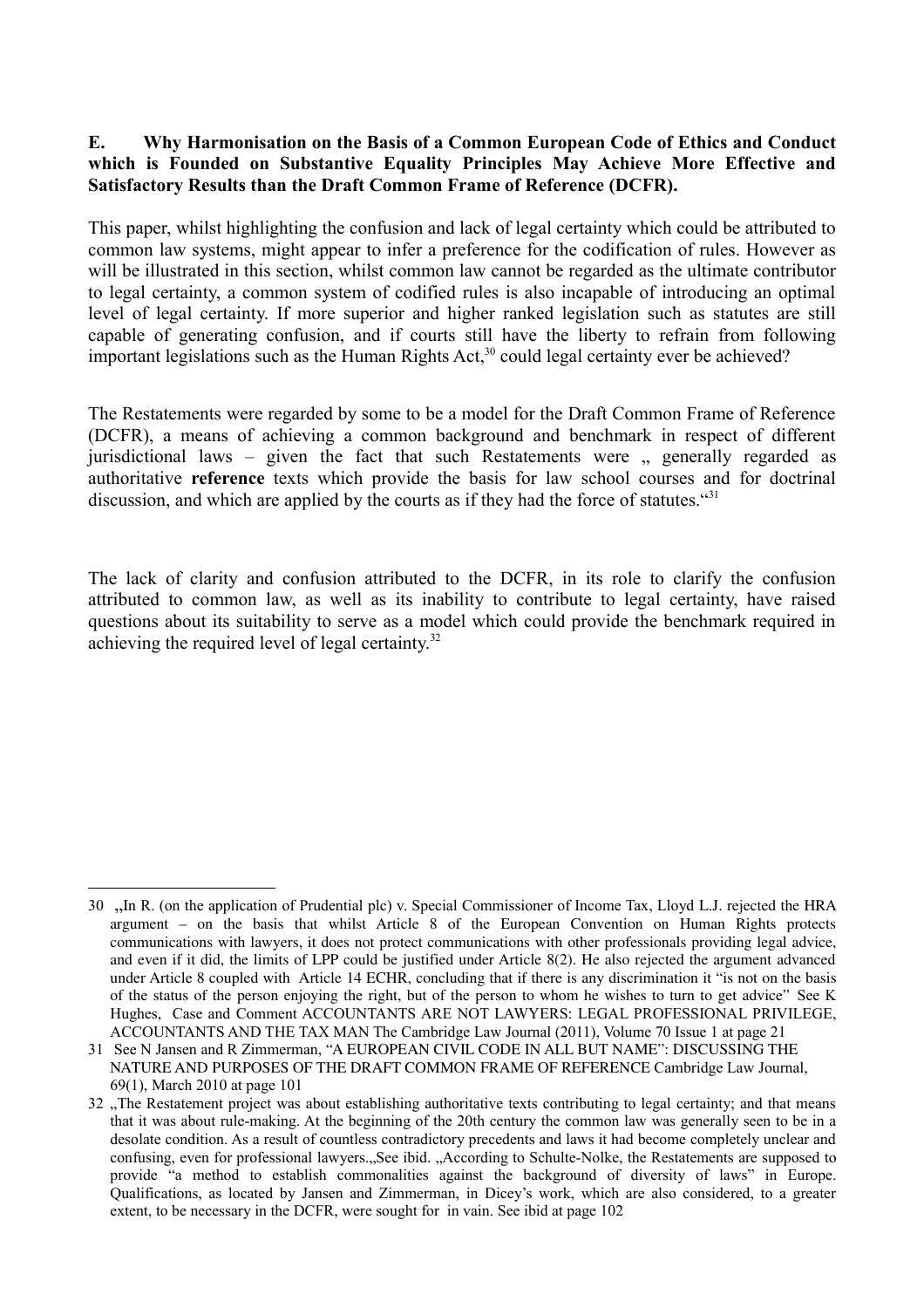#### **E. Why Harmonisation on the Basis of a Common European Code of Ethics and Conduct which is Founded on Substantive Equality Principles May Achieve More Effective and Satisfactory Results than the Draft Common Frame of Reference (DCFR).**

This paper, whilst highlighting the confusion and lack of legal certainty which could be attributed to common law systems, might appear to infer a preference for the codification of rules. However as will be illustrated in this section, whilst common law cannot be regarded as the ultimate contributor to legal certainty, a common system of codified rules is also incapable of introducing an optimal level of legal certainty. If more superior and higher ranked legislation such as statutes are still capable of generating confusion, and if courts still have the liberty to refrain from following important legislations such as the Human Rights Act,<sup>30</sup> could legal certainty ever be achieved?

The Restatements were regarded by some to be a model for the Draft Common Frame of Reference (DCFR), a means of achieving a common background and benchmark in respect of different jurisdictional laws – given the fact that such Restatements were  $\mu$  generally regarded as authoritative **reference** texts which provide the basis for law school courses and for doctrinal discussion, and which are applied by the courts as if they had the force of statutes."<sup>31</sup>

The lack of clarity and confusion attributed to the DCFR, in its role to clarify the confusion attributed to common law, as well as its inability to contribute to legal certainty, have raised questions about its suitability to serve as a model which could provide the benchmark required in achieving the required level of legal certainty.<sup>32</sup>

<sup>30 &</sup>quot;In R. (on the application of Prudential plc) v. Special Commissioner of Income Tax, Lloyd L.J. rejected the HRA argument – on the basis that whilst Article 8 of the European Convention on Human Rights protects communications with lawyers, it does not protect communications with other professionals providing legal advice, and even if it did, the limits of LPP could be justified under Article 8(2). He also rejected the argument advanced under Article 8 coupled with Article 14 ECHR, concluding that if there is any discrimination it "is not on the basis of the status of the person enjoying the right, but of the person to whom he wishes to turn to get advice" See K Hughes, Case and Comment ACCOUNTANTS ARE NOT LAWYERS: LEGAL PROFESSIONAL PRIVILEGE, ACCOUNTANTS AND THE TAX MAN The Cambridge Law Journal (2011), Volume 70 Issue 1 at page 21

<sup>31</sup> See N Jansen and R Zimmerman, "A EUROPEAN CIVIL CODE IN ALL BUT NAME": DISCUSSING THE NATURE AND PURPOSES OF THE DRAFT COMMON FRAME OF REFERENCE Cambridge Law Journal, 69(1), March 2010 at page 101

<sup>32.</sup> The Restatement project was about establishing authoritative texts contributing to legal certainty; and that means that it was about rule-making. At the beginning of the 20th century the common law was generally seen to be in a desolate condition. As a result of countless contradictory precedents and laws it had become completely unclear and confusing, even for professional lawyers...See ibid. "According to Schulte-Nolke, the Restatements are supposed to provide "a method to establish commonalities against the background of diversity of laws" in Europe. Qualifications, as located by Jansen and Zimmerman, in Dicey's work, which are also considered, to a greater extent, to be necessary in the DCFR, were sought for in vain. See ibid at page 102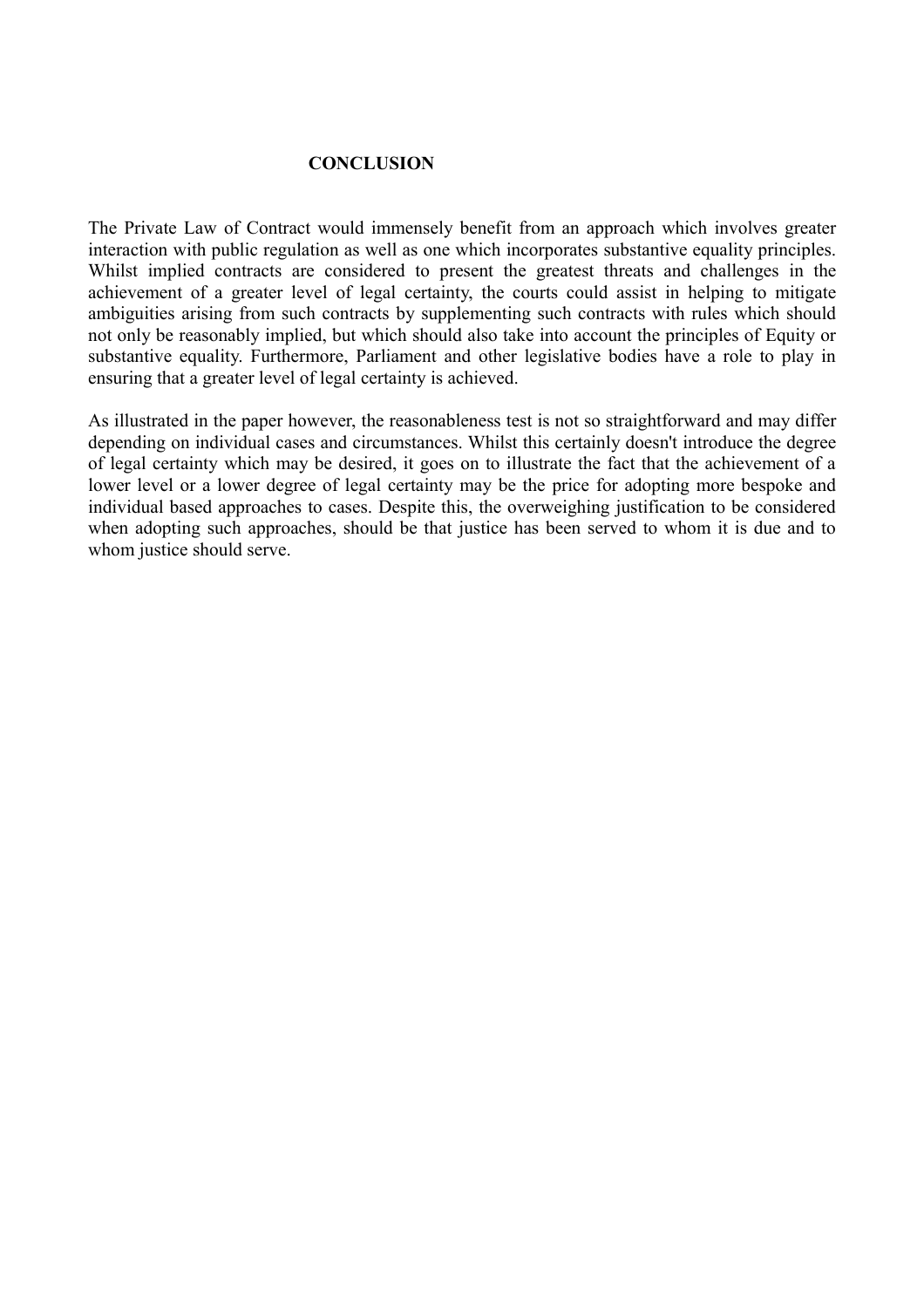#### **CONCLUSION**

The Private Law of Contract would immensely benefit from an approach which involves greater interaction with public regulation as well as one which incorporates substantive equality principles. Whilst implied contracts are considered to present the greatest threats and challenges in the achievement of a greater level of legal certainty, the courts could assist in helping to mitigate ambiguities arising from such contracts by supplementing such contracts with rules which should not only be reasonably implied, but which should also take into account the principles of Equity or substantive equality. Furthermore, Parliament and other legislative bodies have a role to play in ensuring that a greater level of legal certainty is achieved.

As illustrated in the paper however, the reasonableness test is not so straightforward and may differ depending on individual cases and circumstances. Whilst this certainly doesn't introduce the degree of legal certainty which may be desired, it goes on to illustrate the fact that the achievement of a lower level or a lower degree of legal certainty may be the price for adopting more bespoke and individual based approaches to cases. Despite this, the overweighing justification to be considered when adopting such approaches, should be that justice has been served to whom it is due and to whom justice should serve.